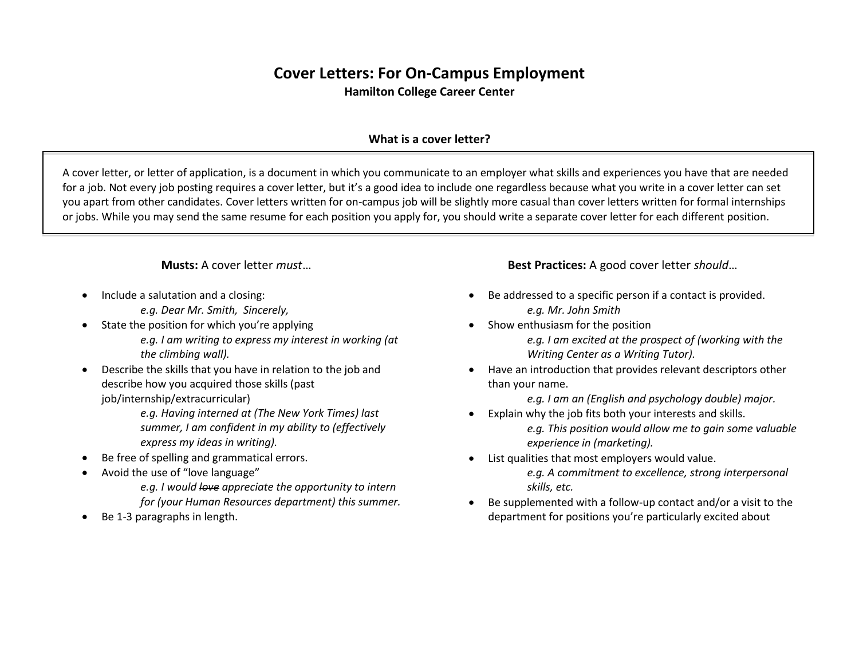## **Cover Letters: For On-Campus Employment Hamilton College Career Center**

## **What is a cover letter?**

A cover letter, or letter of application, is a document in which you communicate to an employer what skills and experiences you have that are needed for a job. Not every job posting requires a cover letter, but it's a good idea to include one regardless because what you write in a cover letter can set you apart from other candidates. Cover letters written for on-campus job will be slightly more casual than cover letters written for formal internships or jobs. While you may send the same resume for each position you apply for, you should write a separate cover letter for each different position.

**Musts:** A cover letter *must*…

- Include a salutation and a closing:
	- *e.g. Dear Mr. Smith, Sincerely,*
- State the position for which you're applying *e.g. I am writing to express my interest in working (at the climbing wall).*
- Describe the skills that you have in relation to the job and describe how you acquired those skills (past job/internship/extracurricular)
	- *e.g. Having interned at (The New York Times) last summer, I am confident in my ability to (effectively express my ideas in writing).*
- Be free of spelling and grammatical errors.
- Avoid the use of "love language"
	- *e.g. I would love appreciate the opportunity to intern for (your Human Resources department) this summer.*
- Be 1-3 paragraphs in length.

**Best Practices:** A good cover letter *should*…

- Be addressed to a specific person if a contact is provided. *e.g. Mr. John Smith*
- Show enthusiasm for the position

*e.g. I am excited at the prospect of (working with the Writing Center as a Writing Tutor).*

 Have an introduction that provides relevant descriptors other than your name.

*e.g. I am an (English and psychology double) major.*

- Explain why the job fits both your interests and skills. *e.g. This position would allow me to gain some valuable experience in (marketing).*
- List qualities that most employers would value. *e.g. A commitment to excellence, strong interpersonal skills, etc.*
- Be supplemented with a follow-up contact and/or a visit to the department for positions you're particularly excited about